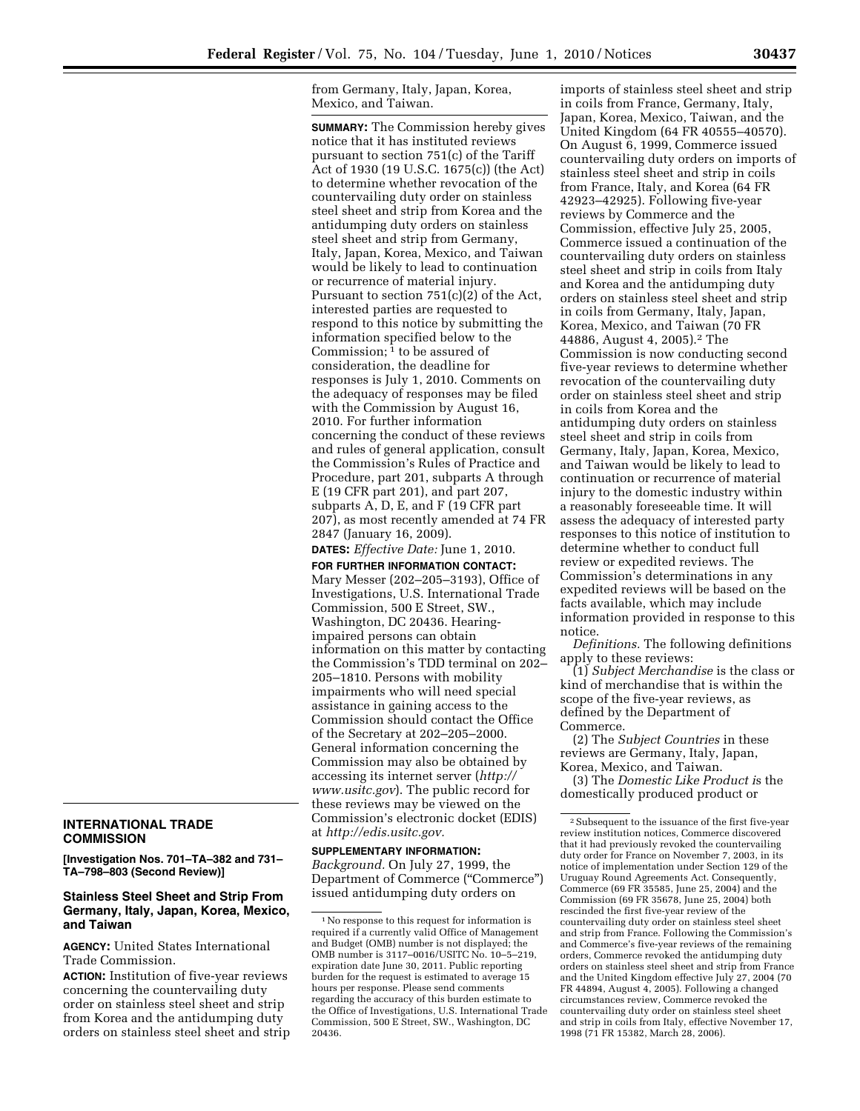from Germany, Italy, Japan, Korea, Mexico, and Taiwan.

**SUMMARY:** The Commission hereby gives notice that it has instituted reviews pursuant to section 751(c) of the Tariff Act of 1930 (19 U.S.C. 1675(c)) (the Act) to determine whether revocation of the countervailing duty order on stainless steel sheet and strip from Korea and the antidumping duty orders on stainless steel sheet and strip from Germany, Italy, Japan, Korea, Mexico, and Taiwan would be likely to lead to continuation or recurrence of material injury. Pursuant to section 751(c)(2) of the Act, interested parties are requested to respond to this notice by submitting the information specified below to the Commission;  $\frac{1}{1}$  to be assured of consideration, the deadline for responses is July 1, 2010. Comments on the adequacy of responses may be filed with the Commission by August 16, 2010. For further information concerning the conduct of these reviews and rules of general application, consult the Commission's Rules of Practice and Procedure, part 201, subparts A through E (19 CFR part 201), and part 207, subparts A, D, E, and F (19 CFR part 207), as most recently amended at 74 FR 2847 (January 16, 2009).

**DATES:** *Effective Date:* June 1, 2010. **FOR FURTHER INFORMATION CONTACT:**  Mary Messer (202–205–3193), Office of Investigations, U.S. International Trade Commission, 500 E Street, SW., Washington, DC 20436. Hearingimpaired persons can obtain information on this matter by contacting the Commission's TDD terminal on 202– 205–1810. Persons with mobility impairments who will need special assistance in gaining access to the Commission should contact the Office of the Secretary at 202–205–2000. General information concerning the Commission may also be obtained by accessing its internet server (*http:// www.usitc.gov*). The public record for these reviews may be viewed on the Commission's electronic docket (EDIS) at *http://edis.usitc.gov.* 

**SUPPLEMENTARY INFORMATION:**  *Background.* On July 27, 1999, the Department of Commerce (''Commerce'') issued antidumping duty orders on

imports of stainless steel sheet and strip in coils from France, Germany, Italy, Japan, Korea, Mexico, Taiwan, and the United Kingdom (64 FR 40555–40570). On August 6, 1999, Commerce issued countervailing duty orders on imports of stainless steel sheet and strip in coils from France, Italy, and Korea (64 FR 42923–42925). Following five-year reviews by Commerce and the Commission, effective July 25, 2005, Commerce issued a continuation of the countervailing duty orders on stainless steel sheet and strip in coils from Italy and Korea and the antidumping duty orders on stainless steel sheet and strip in coils from Germany, Italy, Japan, Korea, Mexico, and Taiwan (70 FR 44886, August 4, 2005).2 The Commission is now conducting second five-year reviews to determine whether revocation of the countervailing duty order on stainless steel sheet and strip in coils from Korea and the antidumping duty orders on stainless steel sheet and strip in coils from Germany, Italy, Japan, Korea, Mexico, and Taiwan would be likely to lead to continuation or recurrence of material injury to the domestic industry within a reasonably foreseeable time. It will assess the adequacy of interested party responses to this notice of institution to determine whether to conduct full review or expedited reviews. The Commission's determinations in any expedited reviews will be based on the facts available, which may include information provided in response to this notice.

*Definitions.* The following definitions apply to these reviews:

(1) *Subject Merchandise* is the class or kind of merchandise that is within the scope of the five-year reviews, as defined by the Department of Commerce.

(2) The *Subject Countries* in these reviews are Germany, Italy, Japan, Korea, Mexico, and Taiwan.

(3) The *Domestic Like Product i*s the domestically produced product or

## **INTERNATIONAL TRADE COMMISSION**

**[Investigation Nos. 701–TA–382 and 731– TA–798–803 (Second Review)]** 

## **Stainless Steel Sheet and Strip From Germany, Italy, Japan, Korea, Mexico, and Taiwan**

**AGENCY:** United States International Trade Commission.

**ACTION:** Institution of five-year reviews concerning the countervailing duty order on stainless steel sheet and strip from Korea and the antidumping duty orders on stainless steel sheet and strip

<sup>1</sup>No response to this request for information is required if a currently valid Office of Management and Budget (OMB) number is not displayed; the OMB number is 3117–0016/USITC No. 10–5–219, expiration date June 30, 2011. Public reporting burden for the request is estimated to average 15 hours per response. Please send comments regarding the accuracy of this burden estimate to the Office of Investigations, U.S. International Trade Commission, 500 E Street, SW., Washington, DC 20436.

<sup>2</sup>Subsequent to the issuance of the first five-year review institution notices, Commerce discovered that it had previously revoked the countervailing duty order for France on November 7, 2003, in its notice of implementation under Section 129 of the Uruguay Round Agreements Act. Consequently, Commerce (69 FR 35585, June 25, 2004) and the Commission (69 FR 35678, June 25, 2004) both rescinded the first five-year review of the countervailing duty order on stainless steel sheet and strip from France. Following the Commission's and Commerce's five-year reviews of the remaining orders, Commerce revoked the antidumping duty orders on stainless steel sheet and strip from France and the United Kingdom effective July 27, 2004 (70 FR 44894, August 4, 2005). Following a changed circumstances review, Commerce revoked the countervailing duty order on stainless steel sheet and strip in coils from Italy, effective November 17, 1998 (71 FR 15382, March 28, 2006).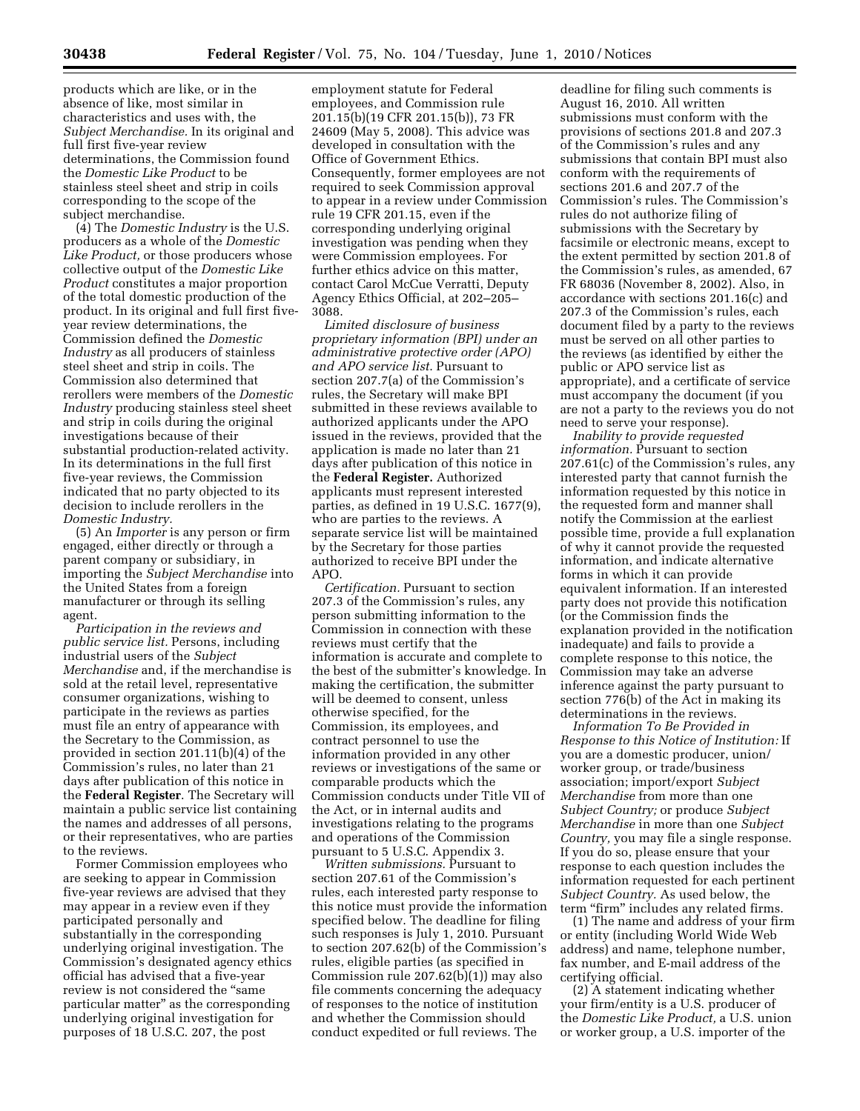products which are like, or in the absence of like, most similar in characteristics and uses with, the *Subject Merchandise.* In its original and full first five-year review determinations, the Commission found the *Domestic Like Product* to be stainless steel sheet and strip in coils corresponding to the scope of the subject merchandise.

(4) The *Domestic Industry* is the U.S. producers as a whole of the *Domestic Like Product,* or those producers whose collective output of the *Domestic Like Product* constitutes a major proportion of the total domestic production of the product. In its original and full first fiveyear review determinations, the Commission defined the *Domestic Industry* as all producers of stainless steel sheet and strip in coils. The Commission also determined that rerollers were members of the *Domestic Industry* producing stainless steel sheet and strip in coils during the original investigations because of their substantial production-related activity. In its determinations in the full first five-year reviews, the Commission indicated that no party objected to its decision to include rerollers in the *Domestic Industry.* 

(5) An *Importer* is any person or firm engaged, either directly or through a parent company or subsidiary, in importing the *Subject Merchandise* into the United States from a foreign manufacturer or through its selling agent.

*Participation in the reviews and public service list.* Persons, including industrial users of the *Subject Merchandise* and, if the merchandise is sold at the retail level, representative consumer organizations, wishing to participate in the reviews as parties must file an entry of appearance with the Secretary to the Commission, as provided in section 201.11(b)(4) of the Commission's rules, no later than 21 days after publication of this notice in the **Federal Register**. The Secretary will maintain a public service list containing the names and addresses of all persons, or their representatives, who are parties to the reviews.

Former Commission employees who are seeking to appear in Commission five-year reviews are advised that they may appear in a review even if they participated personally and substantially in the corresponding underlying original investigation. The Commission's designated agency ethics official has advised that a five-year review is not considered the ''same particular matter'' as the corresponding underlying original investigation for purposes of 18 U.S.C. 207, the post

employment statute for Federal employees, and Commission rule 201.15(b)(19 CFR 201.15(b)), 73 FR 24609 (May 5, 2008). This advice was developed in consultation with the Office of Government Ethics. Consequently, former employees are not required to seek Commission approval to appear in a review under Commission rule 19 CFR 201.15, even if the corresponding underlying original investigation was pending when they were Commission employees. For further ethics advice on this matter, contact Carol McCue Verratti, Deputy Agency Ethics Official, at 202–205– 3088.

*Limited disclosure of business proprietary information (BPI) under an administrative protective order (APO) and APO service list*. Pursuant to section 207.7(a) of the Commission's rules, the Secretary will make BPI submitted in these reviews available to authorized applicants under the APO issued in the reviews, provided that the application is made no later than 21 days after publication of this notice in the **Federal Register.** Authorized applicants must represent interested parties, as defined in 19 U.S.C. 1677(9), who are parties to the reviews. A separate service list will be maintained by the Secretary for those parties authorized to receive BPI under the APO.

*Certification.* Pursuant to section 207.3 of the Commission's rules, any person submitting information to the Commission in connection with these reviews must certify that the information is accurate and complete to the best of the submitter's knowledge. In making the certification, the submitter will be deemed to consent, unless otherwise specified, for the Commission, its employees, and contract personnel to use the information provided in any other reviews or investigations of the same or comparable products which the Commission conducts under Title VII of the Act, or in internal audits and investigations relating to the programs and operations of the Commission pursuant to 5 U.S.C. Appendix 3.

*Written submissions.* Pursuant to section 207.61 of the Commission's rules, each interested party response to this notice must provide the information specified below. The deadline for filing such responses is July 1, 2010. Pursuant to section 207.62(b) of the Commission's rules, eligible parties (as specified in Commission rule 207.62(b)(1)) may also file comments concerning the adequacy of responses to the notice of institution and whether the Commission should conduct expedited or full reviews. The

deadline for filing such comments is August 16, 2010. All written submissions must conform with the provisions of sections 201.8 and 207.3 of the Commission's rules and any submissions that contain BPI must also conform with the requirements of sections 201.6 and 207.7 of the Commission's rules. The Commission's rules do not authorize filing of submissions with the Secretary by facsimile or electronic means, except to the extent permitted by section 201.8 of the Commission's rules, as amended, 67 FR 68036 (November 8, 2002). Also, in accordance with sections 201.16(c) and 207.3 of the Commission's rules, each document filed by a party to the reviews must be served on all other parties to the reviews (as identified by either the public or APO service list as appropriate), and a certificate of service must accompany the document (if you are not a party to the reviews you do not need to serve your response).

*Inability to provide requested information.* Pursuant to section 207.61(c) of the Commission's rules, any interested party that cannot furnish the information requested by this notice in the requested form and manner shall notify the Commission at the earliest possible time, provide a full explanation of why it cannot provide the requested information, and indicate alternative forms in which it can provide equivalent information. If an interested party does not provide this notification (or the Commission finds the explanation provided in the notification inadequate) and fails to provide a complete response to this notice, the Commission may take an adverse inference against the party pursuant to section 776(b) of the Act in making its determinations in the reviews.

*Information To Be Provided in Response to this Notice of Institution:* If you are a domestic producer, union/ worker group, or trade/business association; import/export *Subject Merchandise* from more than one *Subject Country;* or produce *Subject Merchandise* in more than one *Subject Country,* you may file a single response. If you do so, please ensure that your response to each question includes the information requested for each pertinent *Subject Country.* As used below, the term "firm" includes any related firms.

(1) The name and address of your firm or entity (including World Wide Web address) and name, telephone number, fax number, and E-mail address of the certifying official.

(2) A statement indicating whether your firm/entity is a U.S. producer of the *Domestic Like Product,* a U.S. union or worker group, a U.S. importer of the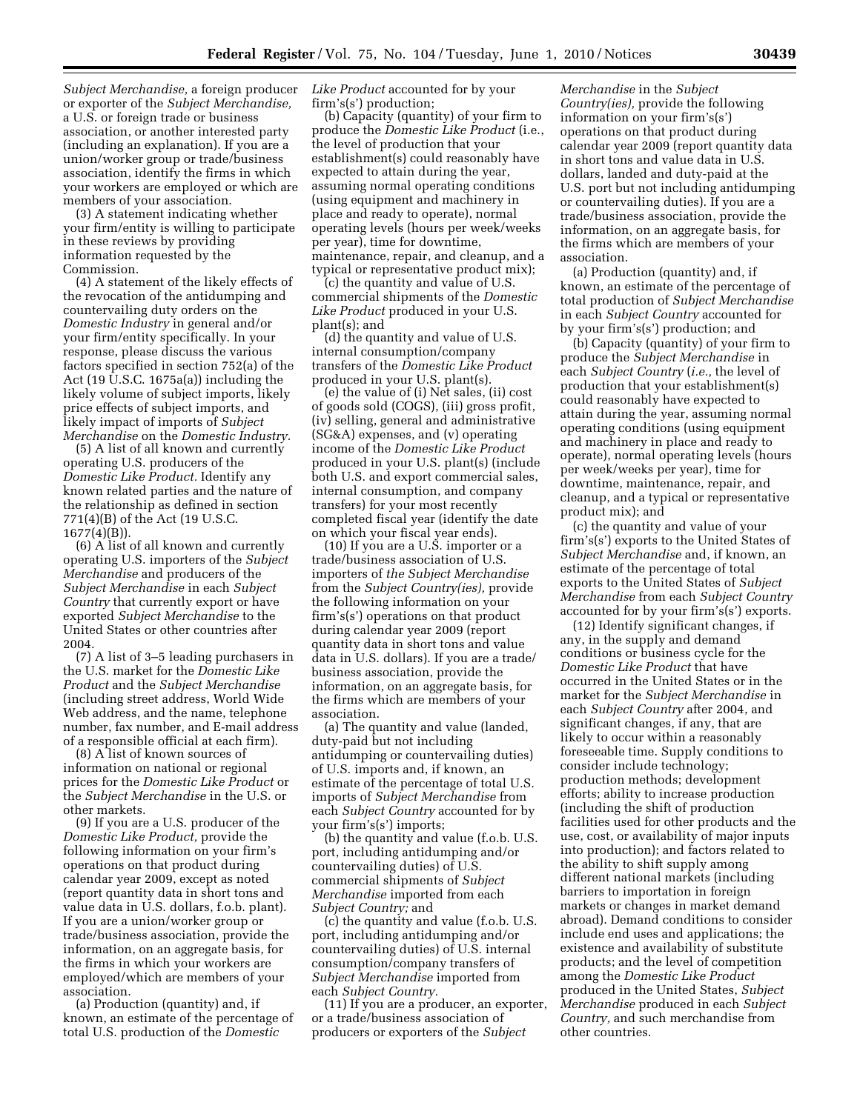*Subject Merchandise,* a foreign producer or exporter of the *Subject Merchandise,*  a U.S. or foreign trade or business association, or another interested party (including an explanation). If you are a union/worker group or trade/business association, identify the firms in which your workers are employed or which are members of your association.

(3) A statement indicating whether your firm/entity is willing to participate in these reviews by providing information requested by the Commission.

(4) A statement of the likely effects of the revocation of the antidumping and countervailing duty orders on the *Domestic Industry* in general and/or your firm/entity specifically. In your response, please discuss the various factors specified in section 752(a) of the Act (19 U.S.C. 1675a(a)) including the likely volume of subject imports, likely price effects of subject imports, and likely impact of imports of *Subject Merchandise* on the *Domestic Industry.* 

(5) A list of all known and currently operating U.S. producers of the *Domestic Like Product.* Identify any known related parties and the nature of the relationship as defined in section 771(4)(B) of the Act (19 U.S.C.  $1677(4)(B)$ ).

(6) A list of all known and currently operating U.S. importers of the *Subject Merchandise* and producers of the *Subject Merchandise* in each *Subject Country* that currently export or have exported *Subject Merchandise* to the United States or other countries after 2004.

(7) A list of 3–5 leading purchasers in the U.S. market for the *Domestic Like Product* and the *Subject Merchandise*  (including street address, World Wide Web address, and the name, telephone number, fax number, and E-mail address of a responsible official at each firm).

(8) A list of known sources of information on national or regional prices for the *Domestic Like Product* or the *Subject Merchandise* in the U.S. or other markets.

(9) If you are a U.S. producer of the *Domestic Like Product,* provide the following information on your firm's operations on that product during calendar year 2009, except as noted (report quantity data in short tons and value data in U.S. dollars, f.o.b. plant). If you are a union/worker group or trade/business association, provide the information, on an aggregate basis, for the firms in which your workers are employed/which are members of your association.

(a) Production (quantity) and, if known, an estimate of the percentage of total U.S. production of the *Domestic* 

*Like Product* accounted for by your firm's(s') production;

(b) Capacity (quantity) of your firm to produce the *Domestic Like Product* (i.e., the level of production that your establishment(s) could reasonably have expected to attain during the year, assuming normal operating conditions (using equipment and machinery in place and ready to operate), normal operating levels (hours per week/weeks per year), time for downtime, maintenance, repair, and cleanup, and a typical or representative product mix);

(c) the quantity and value of U.S. commercial shipments of the *Domestic Like Product* produced in your U.S. plant(s); and

(d) the quantity and value of U.S. internal consumption/company transfers of the *Domestic Like Product*  produced in your U.S. plant(s).

(e) the value of (i) Net sales, (ii) cost of goods sold (COGS), (iii) gross profit, (iv) selling, general and administrative (SG&A) expenses, and (v) operating income of the *Domestic Like Product*  produced in your U.S. plant(s) (include both U.S. and export commercial sales, internal consumption, and company transfers) for your most recently completed fiscal year (identify the date on which your fiscal year ends).

(10) If you are a U.S. importer or a trade/business association of U.S. importers of *the Subject Merchandise*  from the *Subject Country(ies),* provide the following information on your firm's(s') operations on that product during calendar year 2009 (report quantity data in short tons and value data in U.S. dollars). If you are a trade/ business association, provide the information, on an aggregate basis, for the firms which are members of your association.

(a) The quantity and value (landed, duty-paid but not including antidumping or countervailing duties) of U.S. imports and, if known, an estimate of the percentage of total U.S. imports of *Subject Merchandise* from each *Subject Country* accounted for by your firm's(s') imports;

(b) the quantity and value (f.o.b. U.S. port, including antidumping and/or countervailing duties) of U.S. commercial shipments of *Subject Merchandise* imported from each *Subject Country;* and

(c) the quantity and value (f.o.b. U.S. port, including antidumping and/or countervailing duties) of U.S. internal consumption/company transfers of *Subject Merchandise* imported from each *Subject Country.* 

(11) If you are a producer, an exporter, or a trade/business association of producers or exporters of the *Subject* 

*Merchandise* in the *Subject Country(ies),* provide the following information on your firm's(s') operations on that product during calendar year 2009 (report quantity data in short tons and value data in U.S. dollars, landed and duty-paid at the U.S. port but not including antidumping or countervailing duties). If you are a trade/business association, provide the information, on an aggregate basis, for the firms which are members of your association.

(a) Production (quantity) and, if known, an estimate of the percentage of total production of *Subject Merchandise*  in each *Subject Country* accounted for by your firm's(s') production; and

(b) Capacity (quantity) of your firm to produce the *Subject Merchandise* in each *Subject Country* (*i.e.,* the level of production that your establishment(s) could reasonably have expected to attain during the year, assuming normal operating conditions (using equipment and machinery in place and ready to operate), normal operating levels (hours per week/weeks per year), time for downtime, maintenance, repair, and cleanup, and a typical or representative product mix); and

(c) the quantity and value of your firm's(s') exports to the United States of *Subject Merchandise* and, if known, an estimate of the percentage of total exports to the United States of *Subject Merchandise* from each *Subject Country*  accounted for by your firm's(s') exports.

(12) Identify significant changes, if any, in the supply and demand conditions or business cycle for the *Domestic Like Product* that have occurred in the United States or in the market for the *Subject Merchandise* in each *Subject Country* after 2004, and significant changes, if any, that are likely to occur within a reasonably foreseeable time. Supply conditions to consider include technology; production methods; development efforts; ability to increase production (including the shift of production facilities used for other products and the use, cost, or availability of major inputs into production); and factors related to the ability to shift supply among different national markets (including barriers to importation in foreign markets or changes in market demand abroad). Demand conditions to consider include end uses and applications; the existence and availability of substitute products; and the level of competition among the *Domestic Like Product*  produced in the United States, *Subject Merchandise* produced in each *Subject Country,* and such merchandise from other countries.